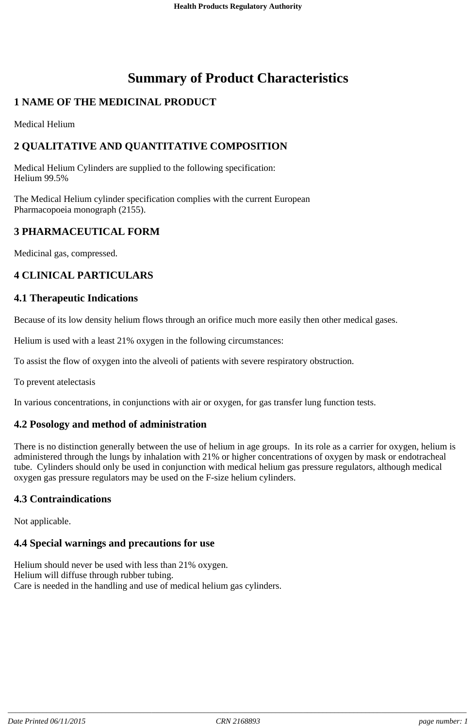# **Summary of Product Characteristics**

# **1 NAME OF THE MEDICINAL PRODUCT**

Medical Helium

# **2 QUALITATIVE AND QUANTITATIVE COMPOSITION**

Medical Helium Cylinders are supplied to the following specification: Helium 99.5%

The Medical Helium cylinder specification complies with the current European Pharmacopoeia monograph (2155).

# **3 PHARMACEUTICAL FORM**

Medicinal gas, compressed.

# **4 CLINICAL PARTICULARS**

#### **4.1 Therapeutic Indications**

Because of its low density helium flows through an orifice much more easily then other medical gases.

Helium is used with a least 21% oxygen in the following circumstances:

To assist the flow of oxygen into the alveoli of patients with severe respiratory obstruction.

To prevent atelectasis

In various concentrations, in conjunctions with air or oxygen, for gas transfer lung function tests.

## **4.2 Posology and method of administration**

There is no distinction generally between the use of helium in age groups. In its role as a carrier for oxygen, helium is administered through the lungs by inhalation with 21% or higher concentrations of oxygen by mask or endotracheal tube. Cylinders should only be used in conjunction with medical helium gas pressure regulators, although medical oxygen gas pressure regulators may be used on the F-size helium cylinders.

## **4.3 Contraindications**

Not applicable.

## **4.4 Special warnings and precautions for use**

Helium should never be used with less than 21% oxygen. Helium will diffuse through rubber tubing. Care is needed in the handling and use of medical helium gas cylinders.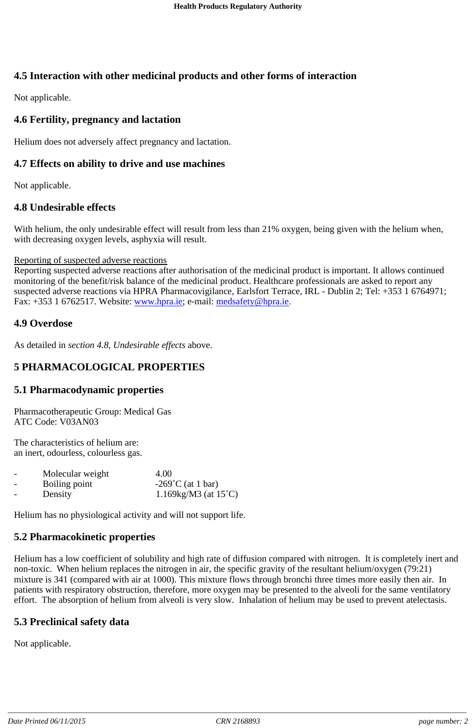# **4.5 Interaction with other medicinal products and other forms of interaction**

Not applicable.

# **4.6 Fertility, pregnancy and lactation**

Helium does not adversely affect pregnancy and lactation.

## **4.7 Effects on ability to drive and use machines**

Not applicable.

## **4.8 Undesirable effects**

With helium, the only undesirable effect will result from less than 21% oxygen, being given with the helium when, with decreasing oxygen levels, asphyxia will result.

#### Reporting of suspected adverse reactions

Reporting suspected adverse reactions after authorisation of the medicinal product is important. It allows continued monitoring of the benefit/risk balance of the medicinal product. Healthcare professionals are asked to report any suspected adverse reactions via HPRA Pharmacovigilance, Earlsfort Terrace, IRL - Dublin 2; Tel: +353 1 6764971; Fax: +353 1 6762517. Website: www.hpra.ie; e-mail: medsafety@hpra.ie.

## **4.9 Overdose**

As detailed in *section 4.8, Undesirable effects* above.

# **5 PHARMACOLOGICAL PROPERTIES**

## **5.1 Pharmacodynamic properties**

Pharmacotherapeutic Group: Medical Gas ATC Code: V03AN03

The characteristics of helium are: an inert, odourless, colourless gas.

| $\overline{\phantom{a}}$ | Molecular weight | 4.00                           |
|--------------------------|------------------|--------------------------------|
| $\overline{\phantom{a}}$ | Boiling point    | $-269^{\circ}$ C (at 1 bar)    |
| $\overline{\phantom{0}}$ | Density          | 1.169kg/M3 (at $15^{\circ}$ C) |

Helium has no physiological activity and will not support life.

## **5.2 Pharmacokinetic properties**

Helium has a low coefficient of solubility and high rate of diffusion compared with nitrogen. It is completely inert and non-toxic. When helium replaces the nitrogen in air, the specific gravity of the resultant helium/oxygen (79:21) mixture is 341 (compared with air at 1000). This mixture flows through bronchi three times more easily then air. In patients with respiratory obstruction, therefore, more oxygen may be presented to the alveoli for the same ventilatory effort. The absorption of helium from alveoli is very slow. Inhalation of helium may be used to prevent atelectasis.

## **5.3 Preclinical safety data**

Not applicable.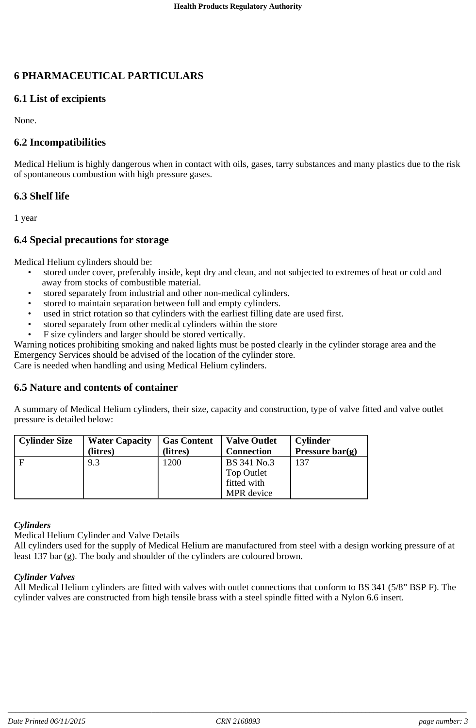# **6 PHARMACEUTICAL PARTICULARS**

# **6.1 List of excipients**

None.

# **6.2 Incompatibilities**

Medical Helium is highly dangerous when in contact with oils, gases, tarry substances and many plastics due to the risk of spontaneous combustion with high pressure gases.

# **6.3 Shelf life**

1 year

# **6.4 Special precautions for storage**

Medical Helium cylinders should be:

- stored under cover, preferably inside, kept dry and clean, and not subjected to extremes of heat or cold and away from stocks of combustible material.
- stored separately from industrial and other non-medical cylinders.
- stored to maintain separation between full and empty cylinders.
- used in strict rotation so that cylinders with the earliest filling date are used first.
- stored separately from other medical cylinders within the store
- F size cylinders and larger should be stored vertically.

Warning notices prohibiting smoking and naked lights must be posted clearly in the cylinder storage area and the Emergency Services should be advised of the location of the cylinder store.

Care is needed when handling and using Medical Helium cylinders.

## **6.5 Nature and contents of container**

A summary of Medical Helium cylinders, their size, capacity and construction, type of valve fitted and valve outlet pressure is detailed below:

| <b>Cylinder Size</b> | <b>Water Capacity</b> | <b>Gas Content</b> | <b>Valve Outlet</b> | <b>Cylinder</b> |
|----------------------|-----------------------|--------------------|---------------------|-----------------|
|                      | (litres)              | (litres)           | <b>Connection</b>   | Pressure bar(g) |
|                      | 9.3                   | 1200               | BS 341 No.3         | 137             |
|                      |                       |                    | <b>Top Outlet</b>   |                 |
|                      |                       |                    | fitted with         |                 |
|                      |                       |                    | MPR device          |                 |

#### *Cylinders*

Medical Helium Cylinder and Valve Details

All cylinders used for the supply of Medical Helium are manufactured from steel with a design working pressure of at least 137 bar (g). The body and shoulder of the cylinders are coloured brown.

#### *Cylinder Valves*

All Medical Helium cylinders are fitted with valves with outlet connections that conform to BS 341 (5/8" BSP F). The cylinder valves are constructed from high tensile brass with a steel spindle fitted with a Nylon 6.6 insert.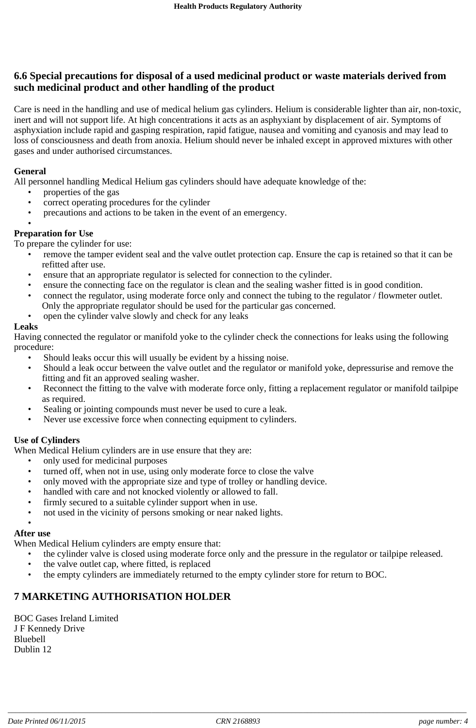# **6.6 Special precautions for disposal of a used medicinal product or waste materials derived from such medicinal product and other handling of the product**

Care is need in the handling and use of medical helium gas cylinders. Helium is considerable lighter than air, non-toxic, inert and will not support life. At high concentrations it acts as an asphyxiant by displacement of air. Symptoms of asphyxiation include rapid and gasping respiration, rapid fatigue, nausea and vomiting and cyanosis and may lead to loss of consciousness and death from anoxia. Helium should never be inhaled except in approved mixtures with other gases and under authorised circumstances.

#### **General**

All personnel handling Medical Helium gas cylinders should have adequate knowledge of the:

- properties of the gas
- correct operating procedures for the cylinder
- precautions and actions to be taken in the event of an emergency.
- •

#### **Preparation for Use**

To prepare the cylinder for use:

- remove the tamper evident seal and the valve outlet protection cap. Ensure the cap is retained so that it can be refitted after use.
- ensure that an appropriate regulator is selected for connection to the cylinder.
- ensure the connecting face on the regulator is clean and the sealing washer fitted is in good condition.
- connect the regulator, using moderate force only and connect the tubing to the regulator / flowmeter outlet.
	- Only the appropriate regulator should be used for the particular gas concerned.
- open the cylinder valve slowly and check for any leaks

#### **Leaks**

Having connected the regulator or manifold yoke to the cylinder check the connections for leaks using the following procedure:

- Should leaks occur this will usually be evident by a hissing noise.
- Should a leak occur between the valve outlet and the regulator or manifold yoke, depressurise and remove the fitting and fit an approved sealing washer.
- Reconnect the fitting to the valve with moderate force only, fitting a replacement regulator or manifold tailpipe as required.
- Sealing or jointing compounds must never be used to cure a leak.
- Never use excessive force when connecting equipment to cylinders.

#### **Use of Cylinders**

When Medical Helium cylinders are in use ensure that they are:

- only used for medicinal purposes
- turned off, when not in use, using only moderate force to close the valve
- only moved with the appropriate size and type of trolley or handling device.
- handled with care and not knocked violently or allowed to fall.
- firmly secured to a suitable cylinder support when in use.
- not used in the vicinity of persons smoking or near naked lights.

#### • **After use**

When Medical Helium cylinders are empty ensure that:

- the cylinder valve is closed using moderate force only and the pressure in the regulator or tailpipe released.
- the valve outlet cap, where fitted, is replaced
- the empty cylinders are immediately returned to the empty cylinder store for return to BOC.

# **7 MARKETING AUTHORISATION HOLDER**

BOC Gases Ireland Limited J F Kennedy Drive Bluebell Dublin 12